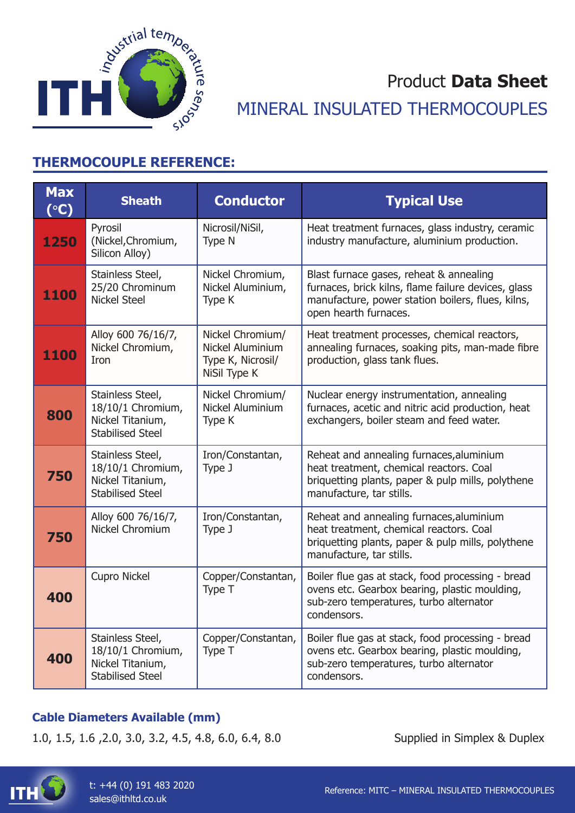

# Product **Data Sheet** MINERAL INSULATED THERMOCOUPLES

# **THERMOCOUPLE REFERENCE:**

| <b>Max</b><br>$({}^{\circ}C)$ | <b>Sheath</b>                                                                        | <b>Conductor</b>                                                          | <b>Typical Use</b>                                                                                                                                                           |
|-------------------------------|--------------------------------------------------------------------------------------|---------------------------------------------------------------------------|------------------------------------------------------------------------------------------------------------------------------------------------------------------------------|
| 1250                          | Pyrosil<br>(Nickel, Chromium,<br>Silicon Alloy)                                      | Nicrosil/NiSil,<br>Type N                                                 | Heat treatment furnaces, glass industry, ceramic<br>industry manufacture, aluminium production.                                                                              |
| 1100                          | Stainless Steel,<br>25/20 Chrominum<br><b>Nickel Steel</b>                           | Nickel Chromium,<br>Nickel Aluminium,<br>Type K                           | Blast furnace gases, reheat & annealing<br>furnaces, brick kilns, flame failure devices, glass<br>manufacture, power station boilers, flues, kilns,<br>open hearth furnaces. |
| 1100                          | Alloy 600 76/16/7,<br>Nickel Chromium,<br>Iron                                       | Nickel Chromium/<br>Nickel Aluminium<br>Type K, Nicrosil/<br>NiSil Type K | Heat treatment processes, chemical reactors,<br>annealing furnaces, soaking pits, man-made fibre<br>production, glass tank flues.                                            |
| 800                           | Stainless Steel,<br>18/10/1 Chromium,<br>Nickel Titanium,<br><b>Stabilised Steel</b> | Nickel Chromium/<br><b>Nickel Aluminium</b><br>Type K                     | Nuclear energy instrumentation, annealing<br>furnaces, acetic and nitric acid production, heat<br>exchangers, boiler steam and feed water.                                   |
| 750                           | Stainless Steel,<br>18/10/1 Chromium,<br>Nickel Titanium,<br><b>Stabilised Steel</b> | Iron/Constantan,<br>Type J                                                | Reheat and annealing furnaces, aluminium<br>heat treatment, chemical reactors. Coal<br>briquetting plants, paper & pulp mills, polythene<br>manufacture, tar stills.         |
| 750                           | Alloy 600 76/16/7,<br>Nickel Chromium                                                | Iron/Constantan,<br>Type J                                                | Reheat and annealing furnaces, aluminium<br>heat treatment, chemical reactors. Coal<br>briquetting plants, paper & pulp mills, polythene<br>manufacture, tar stills.         |
| 400                           | <b>Cupro Nickel</b>                                                                  | Copper/Constantan,<br>Type T                                              | Boiler flue gas at stack, food processing - bread<br>ovens etc. Gearbox bearing, plastic moulding,<br>sub-zero temperatures, turbo alternator<br>condensors.                 |
| 400                           | Stainless Steel,<br>18/10/1 Chromium,<br>Nickel Titanium,<br><b>Stabilised Steel</b> | Copper/Constantan,<br>Type T                                              | Boiler flue gas at stack, food processing - bread<br>ovens etc. Gearbox bearing, plastic moulding,<br>sub-zero temperatures, turbo alternator<br>condensors.                 |

## **Cable Diameters Available (mm)**

1.0, 1.5, 1.6 ,2.0, 3.0, 3.2, 4.5, 4.8, 6.0, 6.4, 8.0 Supplied in Simplex & Duplex

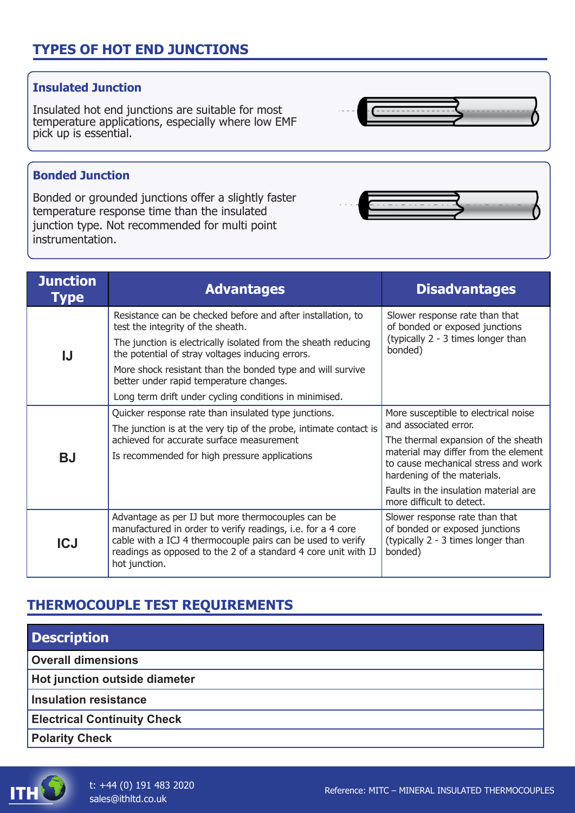# **TYPES OF HOT END JUNCTIONS**

## **Insulated Junction**

Insulated hot end junctions are suitable for most temperature applications, especially where low EMF pick up is essential.

## **Bonded Junction**

Bonded or grounded junctions offer a slightly faster temperature response time than the insulated junction type. Not recommended for multi point instrumentation.

| <b>Junction</b><br>Type | <b>Advantages</b>                                                                                                                                                                                                                                                                                                               | <b>Disadvantages</b>                                                                                                                                                                                               |
|-------------------------|---------------------------------------------------------------------------------------------------------------------------------------------------------------------------------------------------------------------------------------------------------------------------------------------------------------------------------|--------------------------------------------------------------------------------------------------------------------------------------------------------------------------------------------------------------------|
| IJ                      | Resistance can be checked before and after installation, to<br>test the integrity of the sheath.<br>The junction is electrically isolated from the sheath reducing<br>the potential of stray voltages inducing errors.<br>More shock resistant than the bonded type and will survive<br>better under rapid temperature changes. | Slower response rate than that<br>of bonded or exposed junctions<br>(typically 2 - 3 times longer than<br>bonded)                                                                                                  |
|                         | Long term drift under cycling conditions in minimised.                                                                                                                                                                                                                                                                          |                                                                                                                                                                                                                    |
| <b>BJ</b>               | Quicker response rate than insulated type junctions.<br>The junction is at the very tip of the probe, intimate contact is<br>achieved for accurate surface measurement<br>Is recommended for high pressure applications                                                                                                         | More susceptible to electrical noise<br>and associated error.<br>The thermal expansion of the sheath<br>material may differ from the element<br>to cause mechanical stress and work<br>hardening of the materials. |
|                         |                                                                                                                                                                                                                                                                                                                                 | Faults in the insulation material are<br>more difficult to detect.                                                                                                                                                 |
| <b>ICJ</b>              | Advantage as per IJ but more thermocouples can be<br>manufactured in order to verify readings, i.e. for a 4 core<br>cable with a ICJ 4 thermocouple pairs can be used to verify<br>readings as opposed to the 2 of a standard 4 core unit with IJ<br>hot junction.                                                              | Slower response rate than that<br>of bonded or exposed junctions<br>(typically 2 - 3 times longer than<br>bonded)                                                                                                  |

# **THERMOCOUPLE TEST REQUIREMENTS**

| <b>Description</b>                 |  |
|------------------------------------|--|
| <b>Overall dimensions</b>          |  |
| Hot junction outside diameter      |  |
| Insulation resistance              |  |
| <b>Electrical Continuity Check</b> |  |
| <b>Polarity Check</b>              |  |